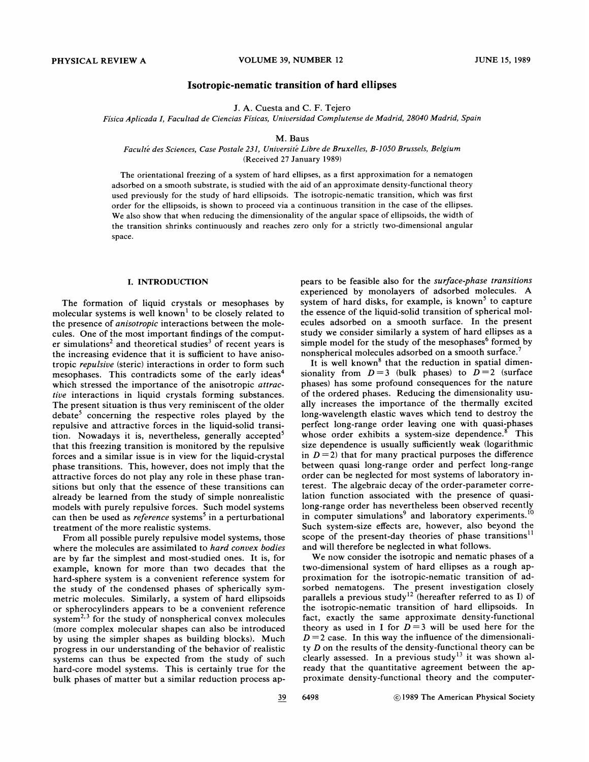# Isotropic-nematic transition of hard ellipses

J. A. Cuesta and C. F. Tejero

Física Aplicada I, Facultad de Ciencias Físicas, Universidad Complutense de Madrid, 28040 Madrid, Spain

## M. Baus

Faculté des Sciences, Case Postale 231, Université Libre de Bruxelles, B-1050 Brussels, Belgium (Received 27 January 1989)

The orientational freezing of a system of hard ellipses, as a first approximation for a nematogen adsorbed on a smooth substrate, is studied with the aid of an approximate density-functional theory used previously for the study of hard ellipsoids. The isotropic-nematic transition, which was first order for the ellipsoids, is shown to proceed via a continuous transition in the case of the ellipses. We also show that when reducing the dimensionality of the angular space of ellipsoids, the width of the transition shrinks continuously and reaches zero only for a strictly two-dimensional angular space.

#### I. INTRODUCTION

The formation of liquid crystals or mesophases by molecular systems is well known' to be closely related to the presence of anisotropic interactions between the molecules. One of the most important findings of the computer simulations<sup>2</sup> and theoretical studies<sup>3</sup> of recent years is the increasing evidence that it is sufficient to have anisotropic repulsiue (steric) interactions in order to form such mesophases. This contradicts some of the early ideas<sup>4</sup> which stressed the importance of the anisotropic attractive interactions in liquid crystals forming substances. The present situation is thus very reminiscent of the older  $debate<sup>5</sup>$  concerning the respective roles played by the repulsive and attractive forces in the liquid-solid transition. Nowadays it is, nevertheless, generally accepted that this freezing transition is monitored by the repulsive forces and a similar issue is in view for the liquid-crystal phase transitions. This, however, does not imply that the attractive forces do not play any role in these phase transitions but only that the essence of these transitions can already be learned from the study of simple nonrealistic models with purely repulsive forces. Such model systems can then be used as *reference* systems<sup>5</sup> in a perturbational treatment of the more realistic systems.

From all possible purely repulsive model systems, those where the molecules are assimilated to hard convex bodies are by far the simplest and most-studied ones. It is, for example, known for more than two decades that the hard-sphere system is a convenient reference system for the study of the condensed phases of spherically symmetric molecules. Similarly, a system of hard ellipsoids or spherocylinders appears to be a convenient reference system<sup>2,3</sup> for the study of nonspherical convex molecules (more complex molecular shapes can also be introduced by using the simpler shapes as building blocks). Much progress in our understanding of the behavior of realistic systems can thus be expected from the study of such hard-core model systems. This is certainly true for the bulk phases of matter but a similar reduction process appears to be feasible also for the surface-phase transitions experienced by monolayers of adsorbed molecules. A system of hard disks, for example, is known<sup>5</sup> to capture the essence of the liquid-solid transition of spherical molecules adsorbed on a smooth surface. In the present study we consider similarly a system of hard ellipses as a simple model for the study of the mesophases<sup>6</sup> formed by nonspherical molecules adsorbed on a smooth surface.

It is well known<sup>8</sup> that the reduction in spatial dimensionality from  $D=3$  (bulk phases) to  $D=2$  (surface phases) has some profound consequences for the nature of the ordered phases. Reducing the dimensionality usually increases the importance of the thermally excited long-wavelength elastic waves which tend to destroy the perfect long-range order leaving one with quasi-phases whose order exhibits a system-size dependence. $\delta$  This size dependence is usually sufficiently weak (logarithmic in  $D = 2$ ) that for many practical purposes the difference between quasi long-range order and perfect long-range order can be neglected for most systems of laboratory interest. The algebraic decay of the order-parameter correlation function associated with the presence of quasilong-range order has nevertheless been observed recently in computer simulations<sup>9</sup> and laboratory experiments.<sup>10</sup> Such system-size effects are, however, also beyond the scope of the present-day theories of phase transitions<sup>11</sup> and will therefore be neglected in what follows.

We now consider the isotropic and nematic phases of a two-dimensional system of hard ellipses as a rough approximation for the isotropic-nematic transition of adsorbed nematogens. The present investigation closely parallels a previous study<sup>12</sup> (hereafter referred to as I) of the isotropic-nematic transition of hard ellipsoids. In fact, exactly the same approximate density-functional theory as used in I for  $D=3$  will be used here for the  $D = 2$  case. In this way the influence of the dimensionality D on the results of the density-functional theory can be clearly assessed. In a previous study<sup>13</sup> it was shown already that the quantitative agreement between the approximate density-functional theory and the computer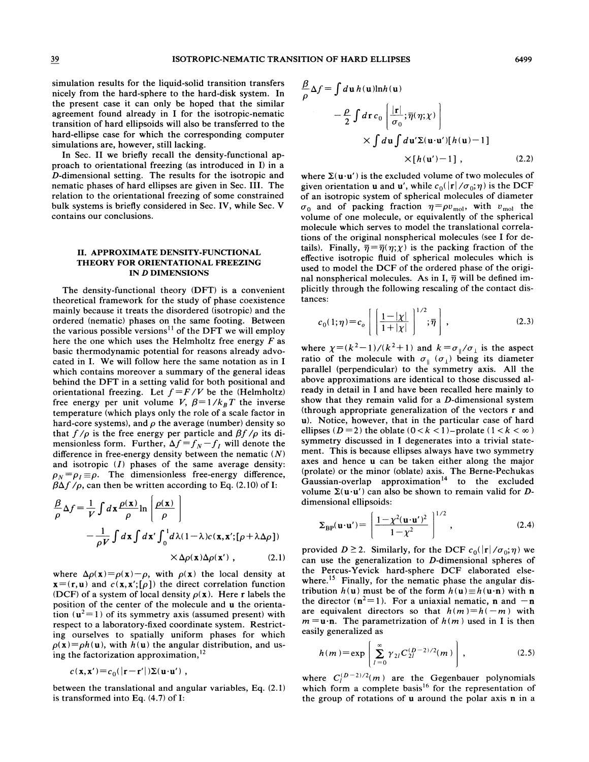simulation results for the liquid-solid transition transfers nicely from the hard-sphere to the hard-disk system. In the present case it can only be hoped that the similar agreement found already in I for the isotropic-nematic transition of hard ellipsoids will also be transferred to the hard-ellipse case for which the corresponding computer simulations are, however, still lacking.

In Sec. II we briefly recall the density-functional approach to orientational freezing (as introduced in I) in a D-dimensional setting. The results for the isotropic and nematic phases of hard ellipses are given in Sec. III. The relation to the orientational freezing of some constrained bulk systems is briefly considered in Sec. IV, while Sec. V contains our conclusions.

### II. APPROXIMATE DENSITY-FUNCTIONAL THEORY FOR ORIENTATIONAL FREEZING IN D DIMENSIONS

The density-functional theory (DFT) is a convenient theoretical framework for the study of phase coexistence mainly because it treats the disordered (isotropic) and the ordered (nematic) phases on the same footing. Between the various possible versions $^{11}$  of the DFT we will employ here the one which uses the Helmholtz free energy  $F$  as basic thermodynamic potential for reasons already advocated in I. We will follow here the same notation as in I which contains moreover a summary of the general ideas behind the DFT in a setting valid for both positional and orientational freezing. Let  $f = F/V$  be the (Helmholtz) free energy per unit volume V,  $\beta = 1/k_BT$  the inverse temperature (which plays only the role of a scale factor in hard-core systems), and  $\rho$  the average (number) density so that  $f/\rho$  is the free energy per particle and  $\beta f/\rho$  its dithat  $f/p$  is the free energy per particle and  $p_f/p$  its di-<br>mensionless form. Further,  $\Delta f = f_N - f_I$  will denote the difference in free-energy density between the nematic  $(N)$ and isotropic  $(I)$  phases of the same average density:  $\rho_N = \rho_I \equiv \rho$ . The dimensionless free-energy difference,  $\beta\Delta f$  / $\rho$ , can then be written according to Eq. (2.10) of I:

$$
\frac{\beta}{\rho} \Delta f = \frac{1}{V} \int d\mathbf{x} \frac{\rho(\mathbf{x})}{\rho} \ln \left[ \frac{\rho(\mathbf{x})}{\rho} \right]
$$

$$
- \frac{1}{\rho V} \int d\mathbf{x} \int d\mathbf{x}' \int_0^1 d\lambda (1 - \lambda) c(\mathbf{x}, \mathbf{x}'; [\rho + \lambda \Delta \rho])
$$

$$
\times \Delta \rho(\mathbf{x}) \Delta \rho(\mathbf{x}'), \qquad (2.1)
$$

where  $\Delta \rho(\mathbf{x}) = \rho(\mathbf{x}) - \rho$ , with  $\rho(\mathbf{x})$  the local density at  $\mathbf{x}=(\mathbf{r}, \mathbf{u})$  and  $c(\mathbf{x}, \mathbf{x}';[\rho])$  the direct correlation function (DCF) of a system of local density  $\rho(\mathbf{x})$ . Here r labels the position of the center of the molecule and u the orientation  $(u<sup>2</sup>=1)$  of its symmetry axis (assumed present) with respect to a laboratory-fixed coordinate system. Restricting ourselves to spatially uniform phases for which  $p(x) = ph(u)$ , with  $h(u)$  the angular distribution, and using the factorization approximation, '

$$
c(\mathbf{x}, \mathbf{x}') = c_0(|\mathbf{r} - \mathbf{r}'|) \Sigma(\mathbf{u} \cdot \mathbf{u}') ,
$$

between the translational and angular variables, Eq. (2. 1) is transformed into Eq. (4.7) of I:

$$
\frac{\beta}{\rho} \Delta f = \int d\mathbf{u} \, h(\mathbf{u}) \ln h(\mathbf{u})
$$
\n
$$
- \frac{\rho}{2} \int d\mathbf{r} \, c_0 \left[ \frac{|\mathbf{r}|}{\sigma_0}; \overline{\eta}(\eta; \chi) \right]
$$
\n
$$
\times \int d\mathbf{u} \int d\mathbf{u}' \Sigma(\mathbf{u} \cdot \mathbf{u}') [h(\mathbf{u}) - 1]
$$
\n
$$
\times [h(\mathbf{u}') - 1], \qquad (2.2)
$$

where  $\Sigma(\mathbf{u} \cdot \mathbf{u}')$  is the excluded volume of two molecules of given orientation **u** and **u'**, while  $c_0(|{\bf r}|/\sigma_0; \eta)$  is the DCF of an isotropic system of spherical molecules of diameter or an isotropic system of spherical molecules of diameter<br> $v_0$  and of packing fraction  $\eta = \rho v_{\text{mol}}$ , with  $v_{\text{mol}}$  the volume of one molecule, or equivalently of the spherical molecule which serves to model the translational correlations of the original nonspherical molecules (see I for details). Finally,  $\overline{\eta} = \overline{\eta}(\eta; \chi)$  is the packing fraction of the effective isotropic fluid of spherical molecules which is used to model the DCF of the ordered phase of the original nonspherical molecules. As in I,  $\overline{\eta}$  will be defined implicitly through the following rescaling of the contact distances:

$$
c_0(1;\eta) = c_o \left[ \left( \frac{1-|\chi|}{1+|\chi|} \right)^{1/2}; \overline{\eta} \right], \tag{2.3}
$$

where  $\chi = (k^2 - 1)/(k^2 + 1)$  and  $k = \sigma_{\parallel}/\sigma_{\perp}$  is the aspect ratio of the molecule with  $\sigma_{\parallel}$  ( $\sigma_{\perp}$ ) being its diameter parallel (perpendicular) to the symmetry axis. All the above approximations are identical to those discussed already in detail in I and have been recalled here mainly to show that they remain valid for a D-dimensional system (through appropriate generalization of the vectors r and u). Notice, however, that in the particular case of hard ellipses ( $D = 2$ ) the oblate ( $0 < k < 1$ )-prolate ( $1 < k < \infty$ ) symmetry discussed in I degenerates into a trivial statement. This is because ellipses always have two symmetry axes and hence u can be taken either along the major prolate) or the minor (oblate) axis. The Berne-Pechukas Gaussian-overlap approximation<sup>14</sup> to the excluded volume  $\Sigma(\mathbf{u} \cdot \mathbf{u}')$  can also be shown to remain valid for Ddimensional ellipsoids:

$$
\Sigma_{\rm BP}(\mathbf{u}\cdot\mathbf{u}') = \left[\frac{1-\chi^2(\mathbf{u}\cdot\mathbf{u}')^2}{1-\chi^2}\right]^{1/2},\tag{2.4}
$$

provided  $D \ge 2$ . Similarly, for the DCF  $c_0(|\mathbf{r}|/\sigma_0;\eta)$  we can use the generalization to  $D$ -dimensional spheres of the Percus- Yevick hard-sphere DCF elaborated elsewhere.<sup>15</sup> Finally, for the nematic phase the angular distribution  $h(\mathbf{u})$  must be of the form  $h(\mathbf{u}) \equiv h(\mathbf{u} \cdot \mathbf{n})$  with n the director ( $n^2$ =1). For a uniaxial nematic, n and -n are equivalent directors so that  $h(m) = h(-m)$  with  $m =$ **u**·n. The parametrization of  $h(m)$  used in I is then easily generalized as

$$
h(m) = \exp\left[\sum_{l=0}^{\infty} \gamma_{2l} C_{2l}^{(D-2)/2}(m)\right],
$$
 (2.5)

where  $C_l^{(D-2)/2}(m)$  are the Gegenbauer polynomials which form a complete basis<sup>16</sup> for the representation of the group of rotations of u around the polar axis n in a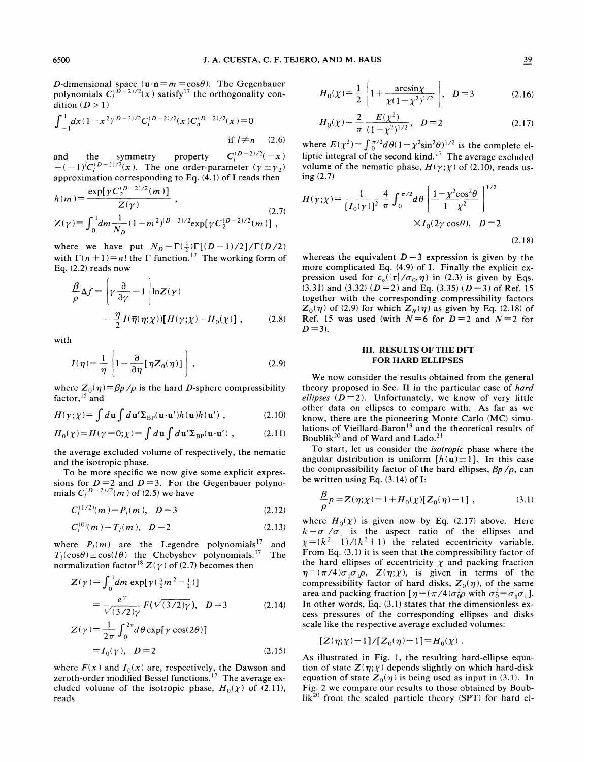D-dimensional space  $(\mathbf{u}\cdot\mathbf{n}=m=\cos\theta)$ . The Gegenbauer polynomials  $C_l^{(D-2)/2}(x)$  satisfy<sup>17</sup> the orthogonality con-<br>dition  $(D > 1)$   $D = 3$  (2.16)

$$
\int_{-1}^{1} dx (1 - x^2)^{(D-3)/2} C_l^{(D-2)/2}(x) C_n^{(D-2)/2}(x) = 0
$$
  
if  $l \neq n$  (2.6)

and the symmetry property  $C_l^{(D-2)/2}(-x)$  $=(-1)^{j}C_{l}^{(D-2)/2}(x)$ . The one order-parameter  $(\gamma \equiv \gamma_2)$ approximation corresponding to Eq. (4. 1) of I reads then nation corresponding<br>exp[ $\gamma C_2^{(D-2)/2}(m)$ ]

$$
h(m) = \frac{\exp[\gamma C_2^{D-2/2}(m)]}{Z(\gamma)},
$$
  
\n
$$
Z(\gamma) = \int_0^1 dm \frac{1}{N_D} (1 - m^2)^{(D-3)/2} \exp[\gamma C_2^{(D-2)/2}(m)],
$$
\n(2.7)

where we have put  $N_D = \Gamma(\frac{3}{2})\Gamma[(D-1)/2]/\Gamma(D/2)$ with  $\Gamma(n+1)=n!$  the  $\Gamma$  function.<sup>17</sup> The working form of Eq. (2.2) reads now

$$
\frac{\beta}{\rho} \Delta f = \left[ \gamma \frac{\partial}{\partial \gamma} - 1 \right] \ln Z(\gamma) \n- \frac{\eta}{2} I(\overline{\eta}(\eta; \chi)) [H(\gamma; \chi) - H_0(\chi)] ,
$$
\n(2.8)

with

$$
I(\eta) = \frac{1}{\eta} \left[ 1 - \frac{\partial}{\partial \eta} [\eta Z_0(\eta)] \right],
$$
 (2.9)

where  $Z_0(\eta) = \beta p / \rho$  is the hard D-sphere compressibilit factor, <sup>15</sup> and factor,<sup>15</sup> and

$$
H(\gamma;\chi) = \int d\mathbf{u} \int d\mathbf{u}' \Sigma_{\rm BP}(\mathbf{u}\cdot\mathbf{u}')h(\mathbf{u})h(\mathbf{u}') , \qquad (2.10)
$$

$$
H_0(\chi) \equiv H(\gamma = 0; \chi) = \int d\mathbf{u} \int d\mathbf{u}' \Sigma_{\rm BP}(\mathbf{u} \cdot \mathbf{u}') , \qquad (2.11)
$$

the average excluded volume of respectively, the nematic and the isotropic phase.

To be more specific we now give some explicit expressions for  $D = 2$  and  $D = 3$ . For the Gegenbauer polynomials  $C_l^{(D-2)/2}(m)$  of (2.5) we have

$$
C_l^{(1/2)}(m) = P_l(m), \quad D = 3 \tag{2.12}
$$

$$
C_l^{(0)}(m) = T_l(m), \quad D = 2 \tag{2.13}
$$

where  $P_l(m)$  are the Legendre polynomials<sup>17</sup> and  $T_l(\cos\theta) \equiv \cos(l\theta)$  the Chebyshev polynomials.<sup>17</sup> The  $T_l(\cos\theta) \equiv \cos(l\theta)$  the Chebyshev polynomials.<sup>17</sup> normalization factor<sup>18</sup>  $Z(\gamma)$  of (2.7) becomes then

$$
Z(\gamma) = \int_0^1 dm \exp[\gamma(\frac{3}{2}m^2 - \frac{1}{2})]
$$
  
=  $\frac{e^{\gamma}}{\sqrt{(3/2)\gamma}} F(\sqrt{(3/2)\gamma}), \quad D = 3$  (2.14)

$$
Z(\gamma) = \frac{1}{2\pi} \int_0^{2\pi} d\theta \exp[\gamma \cos(2\theta)]
$$
  
=  $I_0(\gamma)$ ,  $D = 2$  (2.15)

where 
$$
F(x)
$$
 and  $I_0(x)$  are, respectively, the Dawson and zeroth-order modified Bessel functions.<sup>17</sup> The average excluded volume of the isotropic phase,  $H_0(\chi)$  of (2.11), reads

$$
H_0(\chi) = \frac{1}{2} \left[ 1 + \frac{\arcsin\chi}{\chi(1 - \chi^2)^{1/2}} \right], \quad D = 3
$$
 (2.16)  

$$
H_0(\chi) = \frac{2}{\pi} \frac{E(\chi^2)}{(1 - \chi^2)^{1/2}}, \quad D = 2
$$
 (2.17)

$$
H_0(\chi) = \frac{2}{\pi} \frac{E(\chi^2)}{(1 - \chi^2)^{1/2}}, \quad D = 2
$$
 (2.17)

where  $E(\chi^2) = \int_0^{\pi/2} d\theta (1 - \chi^2 \sin^2 \theta)^{1/2}$  is the complete elliptic integral of the second kind.<sup>17</sup> The average excluded volume of the nematic phase,  $H(\gamma;\chi)$  of (2.10), reads using (2.7)

$$
H(\gamma;\chi) = \frac{1}{[I_0(\gamma)]^2} \frac{4}{\pi} \int_0^{\pi/2} d\theta \left( \frac{1 - \chi^2 \cos^2 \theta}{1 - \chi^2} \right)^{1/2} \times I_0(2\gamma \cos \theta), \quad D = 2
$$
\n(2.18)

whereas the equivalent  $D = 3$  expression is given by the more complicated Eq. (4.9) of I. Finally the explicit expression used for  $c_o(|{\bf r}|/\sigma_0, \eta)$  in (2.3) is given by Eqs. (3.31) and (3.32) ( $D = 2$ ) and Eq. (3.35) ( $D = 3$ ) of Ref. 15 together with the corresponding compressibility factors  $Z_0(\eta)$  of (2.9) for which  $Z_N(\eta)$  as given by Eq. (2.18) of Ref. 15 was used (with  $N=6$  for  $D=2$  and  $N=2$  for  $D = 3$ ).

# III. RESULTS OF THE OFT FOR HARD ELLIPSES

We now consider the results obtained from the general theory proposed in Sec. II in the particular case of hard ellipses ( $D = 2$ ). Unfortunately, we know of very little other data on ellipses to compare with. As far as we know, there are the pioneering Monte Carlo (MC) simulations of Vieillard-Baron<sup>19</sup> and the theoretical results of Boublik<sup>20</sup> and of Ward and Lado.<sup>21</sup>

To start, let us consider the isotropic phase where the angular distribution is uniform  $[h(u) \equiv 1]$ . In this case the compressibility factor of the hard ellipses,  $\beta p / \rho$ , can be written using Eq. (3.14) of I:

$$
\frac{\beta}{\rho} p \equiv Z(\eta; \chi) = 1 + H_0(\chi) [Z_0(\eta) - 1], \qquad (3.1)
$$

where  $H_0(\chi)$  is given now by Eq. (2.17) above. Here where  $H_0(\chi)$  is given now by Eq. (2.17) above. There  $k = \sigma_{\parallel}/\sigma_{\perp}$  is the aspect ratio of the ellipses and  $\chi = (k^2-1)/(k^2+1)$  the related eccentricity variable. From Eq. (3.1) it is seen that the compressibility factor of the hard ellipses of eccentricity  $\chi$  and packing fraction  $q = (\pi/4)\sigma_{\parallel}\sigma_{\perp}\rho$ ,  $Z(\eta; \chi)$ , is given in terms of the compressibility factor of hard disks,  $Z_0(\eta)$ , of the same area and packing fraction  $[\eta = (\pi/4)\sigma_0^2 \rho$  with  $\sigma_0^2 = \sigma_{\parallel} \sigma_{\perp}].$ In other words, Eq. (3.1) states that the dimensionless excess pressures of the corresponding ellipses and disks scale like the respective average excluded volumes:

$$
[Z(\eta;\chi) \! - \! 1]/[Z_0(\eta) \! - \! 1] \! = \! H_0(\chi) \ .
$$

As illustrated in Fig. 1, the resulting hard-ellipse equation of state  $Z(\eta;\chi)$  depends slightly on which hard-disk equation of state  $Z_0(\eta)$  is being used as input in (3.1). In Fig. 2 we compare our results to those obtained by Boub $lik^{20}$  from the scaled particle theory (SPT) for hard el-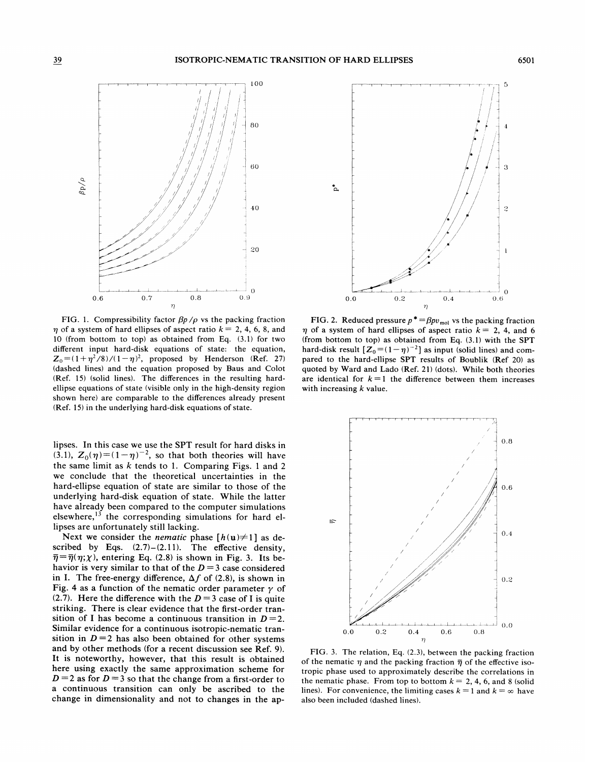

FIG. 1. Compressibility factor  $\beta p / \rho$  vs the packing fraction  $\eta$  of a system of hard ellipses of aspect ratio  $k = 2, 4, 6, 8,$  and 10 (from bottom to top) as obtained from Eq. (3.1) for two different input hard-disk equations of state: the equation,  $Z_0 = (1 + \eta^2 / 8) / (1 - \eta)^2$ , proposed by Henderson (Ref. 27) (dashed lines) and the equation proposed by Baus and Colot (Ref. 15) (solid lines). The differences in the resulting hardellipse equations of state (visible only in the high-density region shown here) are comparable to the differences already present (Ref. 15) in the underlying hard-disk equations of state.

lipses. In this case we use the SPT result for hard disks in (3.1),  $Z_0(\eta)=(1-\eta)^{-2}$ , so that both theories will have the same limit as  $k$  tends to 1. Comparing Figs. 1 and 2 we conclude that the theoretical uncertainties in the hard-ellipse equation of state are similar to those of the underlying hard-disk equation of state. While the latter have already been compared to the computer simulations elsewhere, $^{13}$  the corresponding simulations for hard ellipses are unfortunately still lacking.

Next we consider the *nematic* phase  $[h(u) \neq 1]$  as described by Eqs.  $(2.7)$ – $(2.11)$ . The effective density,  $\overline{\eta}=\overline{\eta}(\eta;\chi)$ , entering Eq. (2.8) is shown in Fig. 3. Its behavior is very similar to that of the  $D = 3$  case considered in I. The free-energy difference,  $\Delta f$  of (2.8), is shown in Fig. 4 as a function of the nematic order parameter  $\gamma$  of (2.7). Here the difference with the  $D = 3$  case of I is quite striking. There is clear evidence that the first-order transition of I has become a continuous transition in  $D = 2$ . Similar evidence for a continuous isotropic-nematic transition in  $D=2$  has also been obtained for other systems and by other methods (for a recent discussion see Ref. 9). It is noteworthy, however, that this result is obtained here using exactly the same approximation scheme for  $D = 2$  as for  $D = 3$  so that the change from a first-order to a continuous transition can only be ascribed to the change in dimensionality and not to changes in the ap-



FIG. 2. Reduced pressure  $p^* = \beta pv_{\text{mol}}$  vs the packing fraction  $\eta$  of a system of hard ellipses of aspect ratio  $k = 2, 4,$  and 6 (from bottom to top) as obtained from Eq. (3.1) with the SPT hard-disk result  $[\mathbb{Z}_0 = (1 - \eta)^{-2}]$  as input (solid lines) and compared to the hard-ellipse SPT results of Boublik (Ref 20) as quoted by Ward and Lado (Ref. 21) (dots). While both theories are identical for  $k=1$  the difference between them increases with increasing  $k$  value.



FIG. 3. The relation, Eq. (2.3), between the packing fraction of the nematic  $\eta$  and the packing fraction  $\bar{\eta}$  of the effective isotropic phase used to approximately describe the correlations in the nematic phase. From top to bottom  $k = 2, 4, 6$ , and 8 (solid lines). For convenience, the limiting cases  $k = 1$  and  $k = \infty$  have also been included (dashed lines).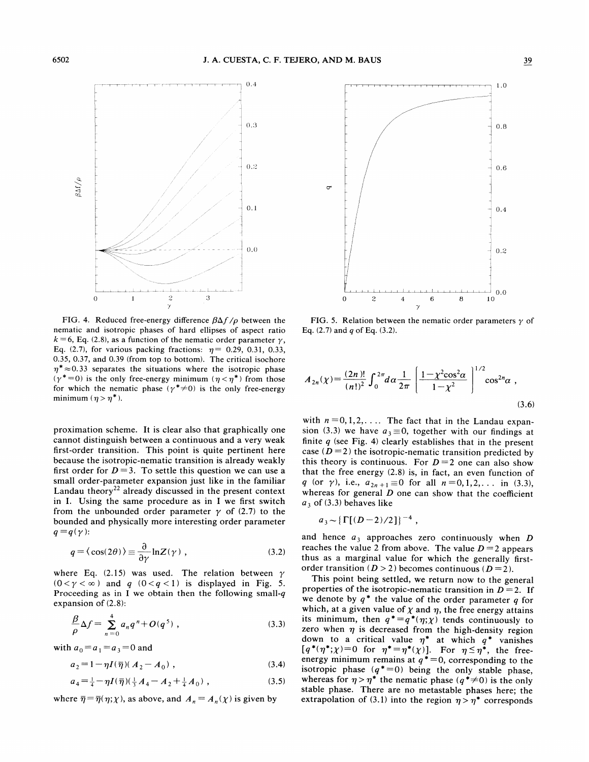

FIG. 4. Reduced free-energy difference  $\beta\Delta f/\rho$  between the nematic and isotropic phases of hard ellipses of aspect ratio  $k = 6$ , Eq. (2.8), as a function of the nematic order parameter  $\gamma$ , Eq. (2.7), for various packing fractions:  $\eta$  = 0.29, 0.31, 0.33, 0.35, 0.37, and 0.39 (from top to bottom). The critical isochore  $\eta^*$   $\approx$  0.33 separates the situations where the isotropic phase  $(\gamma^* = 0)$  is the only free-energy minimum  $(\eta < \eta^*)$  from those for which the nematic phase ( $\gamma^* \neq 0$ ) is the only free-energy minimum  $(\eta > \eta^*)$ .

proximation scheme. It is clear also that graphically one cannot distinguish between a continuous and a very weak first-order transition. This point is quite pertinent here because the isotropic-nematic transition is already weakly first order for  $D = 3$ . To settle this question we can use a small order-parameter expansion just like in the familiar Landau theory<sup>22</sup> already discussed in the present context in I. Using the same procedure as in I we first switch from the unbounded order parameter  $\gamma$  of (2.7) to the bounded and physically more interesting order parameter  $q = q(\gamma)$ :

$$
q = \langle \cos(2\theta) \rangle \equiv \frac{\partial}{\partial \gamma} \ln Z(\gamma) , \qquad (3.2)
$$

where Eq. (2.15) was used. The relation between  $\gamma$  $(0<\gamma<\infty)$  and q  $(0< q<1)$  is displayed in Fig. 5. Proceeding as in I we obtain then the following small- $q$ expansion of (2.8):

$$
\frac{\beta}{\rho} \Delta f = \sum_{n=0}^{4} a_n q^n + O(q^5) , \qquad (3.3)
$$

with  $a_0 = a_1 = a_3 = 0$  and

$$
a_2 = 1 - \eta I(\bar{\eta})(A_2 - A_0), \qquad (3.4)
$$

$$
a_4 = \frac{1}{4} - \eta I(\overline{\eta})(\frac{1}{3}A_4 - A_2 + \frac{1}{4}A_0) , \qquad (3.5)
$$

where  $\overline{\eta} = \overline{\eta}(\eta; \chi)$ , as above, and  $A_n = A_n(\chi)$  is given by



FIG. 5. Relation between the nematic order parameters  $\gamma$  of Eq.  $(2.7)$  and q of Eq.  $(3.2)$ .

$$
A_{2n}(\chi) = \frac{(2n)!}{(n!)^2} \int_0^{2\pi} d\alpha \frac{1}{2\pi} \left[ \frac{1 - \chi^2 \cos^2 \alpha}{1 - \chi^2} \right]^{1/2} \cos^{2n} \alpha ,
$$
\n(3.6)

with  $n = 0, 1, 2, \ldots$  The fact that in the Landau expansion (3.3) we have  $a_3 \equiv 0$ , together with our findings at finite  $q$  (see Fig. 4) clearly establishes that in the present case  $(D=2)$  the isotropic-nematic transition predicted by this theory is continuous. For  $D = 2$  one can also show that the free energy (2.8) is, in fact, an even function of q (or  $\gamma$ ), i.e.,  $a_{2n+1} \equiv 0$  for all  $n = 0, 1, 2, \ldots$  in (3.3), whereas for general  $D$  one can show that the coefficient  $a_3$  of (3.3) behaves like

$$
a_3 \sim \left\{ \Gamma[(D-2)/2] \right\}^{-4}
$$
,

and hence  $a_3$  approaches zero continuously when D reaches the value 2 from above. The value  $D = 2$  appears thus as a marginal value for which the generally firstorder transition ( $D > 2$ ) becomes continuous ( $D = 2$ ).

This point being settled, we return now to the general properties of the isotropic-nematic transition in  $D = 2$ . If we denote by  $q^*$  the value of the order parameter q for which, at a given value of  $\chi$  and  $\eta$ , the free energy attains its minimum, then  $q^* = q^*(\eta; \chi)$  tends continuously to zero when  $\eta$  is decreased from the high-density region down to a critical value  $\eta^*$  at which  $q^*$  vanishes  $q^*(\eta^*; \chi) = 0$  for  $\eta^* = \eta^*(\chi)$ ]. For  $\eta \leq \eta^*$ , the freeenergy minimum remains at  $q^* = 0$ , corresponding to the isotropic phase  $(q^*=0)$  being the only stable phase, whereas for  $\eta > \eta^*$  the nematic phase ( $q^* \neq 0$ ) is the only stable phase. There are no metastable phases here; the extrapolation of (3.1) into the region  $\eta > \eta^*$  corresponds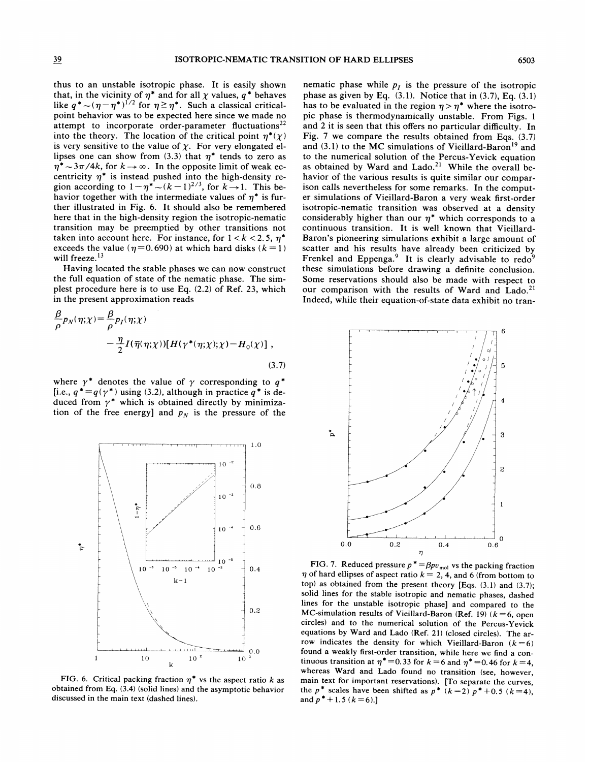thus to an unstable isotropic phase. It is easily shown that, in the vicinity of  $\eta^*$  and for all  $\chi$  values,  $q^*$  behaves like  $q^* \sim (\eta - \eta^*)^{1/2}$  for  $\eta \ge \eta^*$ . Such a classical criticalpoint behavior was to be expected here since we made no attempt to incorporate order-parameter fluctuations<sup>22</sup> into the theory. The location of the critical point  $\eta^*(\chi)$ is very sensitive to the value of  $\chi$ . For very elongated ellipses one can show from (3.3) that  $\eta^*$  tends to zero as  $\eta^* \sim 3\pi/4k$ , for  $k \to \infty$ . In the opposite limit of weak eccentricity  $\eta^*$  is instead pushed into the high-density region according to  $1-\eta^* \sim (k-1)^{2/3}$ , for  $k \to 1$ . This behavior together with the intermediate values of  $\eta^*$  is further illustrated in Fig. 6. It should also be remembered here that in the high-density region the isotropic-nematic transition may be preemptied by other transitions not taken into account here. For instance, for  $1 < k < 2.5$ ,  $\eta^*$ exceeds the value ( $\eta$ =0.690) at which hard disks ( $k = 1$ ) will freeze.<sup>13</sup>

Having located the stable phases we can now construct the full equation of state of the nematic phase. The simplest procedure here is to use Eq. (2.2) of Ref. 23, which in the present approximation reads

$$
\frac{\beta}{\rho} p_N(\eta; \chi) = \frac{\beta}{\rho} p_I(\eta; \chi) \n- \frac{\eta}{2} I(\overline{\eta}(\eta; \chi)) [H(\gamma^*(\eta; \chi); \chi) - H_0(\chi)] ,
$$
\n(3.7)

where  $\gamma^*$  denotes the value of  $\gamma$  corresponding to  $q^*$ [i.e.,  $q^* = q(\gamma^*)$  using (3.2), although in practice  $q^*$  is deduced from  $\gamma^*$  which is obtained directly by minimization of the free energy] and  $p<sub>N</sub>$  is the pressure of the



FIG. 6. Critical packing fraction  $\eta^*$  vs the aspect ratio k as obtained from Eq. (3.4) (solid lines) and the asymptotic behavior discussed in the main text (dashed lines).

nematic phase while  $p_i$  is the pressure of the isotropic phase as given by Eq.  $(3.1)$ . Notice that in  $(3.7)$ , Eq.  $(3.1)$ has to be evaluated in the region  $\eta > \eta^*$  where the isotropic phase is thermodynamically unstable. From Figs. <sup>1</sup> and 2 it is seen that this offers no particular difficulty. In Fig. 7 we compare the results obtained from Eqs. (3.7) and  $(3.1)$  to the MC simulations of Vieillard-Baron<sup>19</sup> and to the numerical solution of the Percus-Yevick equation as obtained by Ward and Lado.<sup>21</sup> While the overall behavior of the various results is quite similar our comparison calls nevertheless for some remarks. In the computer simulations of Vieillard-Baron a very weak first-order isotropic-nematic transition was observed at a density considerably higher than our  $\eta^*$  which corresponds to a continuous transition. It is well known that Vieillard-Baron's pioneering simulations exhibit a large amount of scatter and his results have already been criticized by Frenkel and Eppenga.<sup>9</sup> It is clearly advisable to redo<sup>9</sup> these simulations before drawing a definite conclusion. Some reservations should also be made with respect to our comparison with the results of Ward and Lado.<sup>21</sup> Indeed, while their equation-of-state data exhibit no tran-



FIG. 7. Reduced pressure  $p^* = \beta pv_{\text{mol}}$  vs the packing fraction  $\eta$  of hard ellipses of aspect ratio  $k = 2, 4$ , and 6 (from bottom to top) as obtained from the present theory [Eqs. (3.1) and (3.7); solid lines for the stable isotropic and nematic phases, dashed lines for the unstable isotropic phase] and compared to the MC-simulation results of Vieillard-Baron (Ref. 19) ( $k = 6$ , open circles) and to the numerical solution of the Percus-Yevick equations by Ward and Lado (Ref. 21) (closed circles). The arrow indicates the density for which Vieillard-Baron  $(k=6)$ found a weakly first-order transition, while here we find a continuous transition at  $\eta^* = 0.33$  for  $k = 6$  and  $\eta^* = 0.46$  for  $k = 4$ , whereas Ward and Lado found no transition (see, however, main text for important reservations). [To separate the curves, the p<sup>\*</sup> scales have been shifted as  $p^*$  ( $k=2$ )  $p^*+0.5$  ( $k=4$ ), and  $p^*+1.5$  ( $k=6$ ).]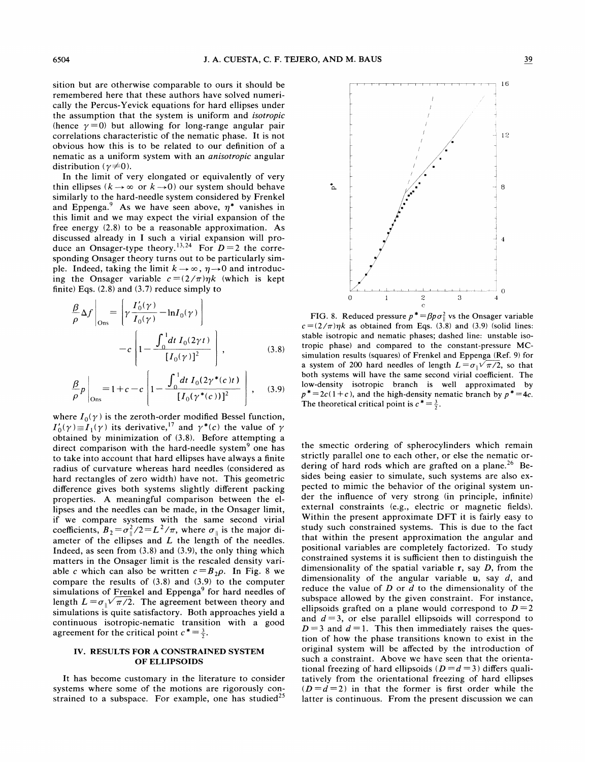sition but are otherwise comparable to ours it should be remembered here that these authors have solved numerically the Percus-Yevick equations for hard ellipses under the assumption that the system is uniform and isotropic (hence  $\gamma = 0$ ) but allowing for long-range angular pair correlations characteristic of the nematic phase. It is not obvious how this is to be related to our definition of a nematic as a uniform system with an anisotropic angular distribution ( $\gamma \neq 0$ ).

In the limit of very elongated or equivalently of very thin ellipses ( $k \rightarrow \infty$  or  $k \rightarrow 0$ ) our system should behave similarly to the hard-needle system considered by Frenkel and Eppenga.<sup>9</sup> As we have seen above,  $\eta^*$  vanishes in this limit and we may expect the virial expansion of the free energy (2.8) to be a reasonable approximation. As discussed already in I such a virial expansion will pro-<br>duce an Onsager-type theory.<sup>13,24</sup> For  $D=2$  the corresponding Onsager theory turns out to be particularly simple. Indeed, taking the limit  $k \rightarrow \infty$ ,  $\eta \rightarrow 0$  and introducing the Onsager variable  $c = (2/\pi)\eta k$  (which is kept finite) Eqs. (2.8) and (3.7) reduce simply to

$$
\frac{\beta}{\rho} \Delta f \Big|_{\text{Ons}} = \left[ \gamma \frac{I_0'(\gamma)}{I_0(\gamma)} - \ln I_0(\gamma) \right] - c \left[ 1 - \frac{\int_0^1 dt \, I_0(2\gamma t)}{\left[ I_0(\gamma) \right]^2} \right],\tag{3.8}
$$

$$
\frac{\beta}{\rho}p\bigg|_{\text{Ons}} = 1 + c - c \left[1 - \frac{\int_0^1 dt \ I_0(2\gamma^*(c)t)}{\left[I_0(\gamma^*(c))\right]^2}\right], \quad (3.9)
$$

where  $I_0(\gamma)$  is the zeroth-order modified Bessel function,  $I'_0(\gamma) \equiv I_1(\gamma)$  its derivative,<sup>17</sup> and  $\gamma^*(c)$  the value of  $\gamma$ obtained by minimization of (3.8). Before attempting a direct comparison with the hard-needle system<sup>9</sup> one has to take into account that hard ellipses have always a finite radius of curvature whereas hard needles (considered as hard rectangles of zero width) have not. This geometric difference gives both systems slightly different packing properties. A meaningful comparison between the ellipses and the needles can be made, in the Onsager limit, if we compare systems with the same second virial coefficients,  $B_2 = \sigma_{\parallel}^2/2 = L^2/\pi$ , where  $\sigma_{\parallel}$  is the major diameter of the ellipses and  $L$  the length of the needles. Indeed, as seen from (3.8) and (3.9), the only thing which matters in the Onsager limit is the rescaled density variable c which can also be written  $c = B_2 \rho$ . In Fig. 8 we compare the results of (3.8) and (3.9) to the computer simulations of Frenkel and Eppenga<sup>9</sup> for hard needles of length  $L = \sigma_{\parallel} \sqrt{\pi/2}$ . The agreement between theory and simulations is quite satisfactory. Both approaches yield a continuous isotropic-nematic transition with a good continuous isotropic-nematic transitial point  $c^* = \frac{3}{2}$ .

## IV. RESULTS FOR A CONSTRAINED SYSTEM OF ELLIPSOIDS

It has become customary in the literature to consider systems where some of the motions are rigorously constrained to a subspace. For example, one has studied<sup>25</sup>



FIG. 8. Reduced pressure  $p^* = \beta p \sigma_{\parallel}^2$  vs the Onsager variable  $c = (2/\pi)\eta k$  as obtained from Eqs. (3.8) and (3.9) (solid lines: stable isotropic and nernatic phases; dashed line: unstable isotropic phase) and compared to the constant-pressure MCsimulation results (squares) of Frenkel and Eppenga (Ref. 9) for a system of 200 hard needles of length  $L = \sigma_{\parallel} \sqrt{\pi/2}$ , so that both systems will have the same second virial coefficient. The low-density isotropic branch is well approximated by  $p^* = 2c(1+c)$ , and the high-density nematic branch by  $p^* = 4c$ . The theoretical critical point is  $c^* = \frac{3}{3}$ .

the smectic ordering of spherocylinders which remain strictly parallel one to each other, or else the nematic ordering of hard rods which are grafted on a plane.<sup>26</sup> Besides being easier to simulate, such systems are also expected to mimic the behavior of the original system under the infiuence of very strong (in principle, infinite) external constraints (e.g., electric or magnetic fields). Within the present approximate DFT it is fairly easy to study such constrained systems. This is due to the fact that within the present approximation the angular and positional variables are completely factorized. To study constrained systems it is sufficient then to distinguish the dimensionality of the spatial variable  $r$ , say  $D$ , from the dimensionality of the angular variable  $u$ , say  $d$ , and reduce the value of  $D$  or  $d$  to the dimensionality of the subspace allowed by the given constraint. For instance, ellipsoids grafted on a plane would correspond to  $D = 2$ and  $d = 3$ , or else parallel ellipsoids will correspond to  $D = 3$  and  $d = 1$ . This then immediately raises the question of how the phase transitions known to exist in the original system will be affected by the introduction of such a constraint. Above we have seen that the orientational freezing of hard ellipsoids ( $D = d = 3$ ) differs qualitatively from the orientational freezing of hard ellipses  $(D=d=2)$  in that the former is first order while the latter is continuous. From the present discussion we can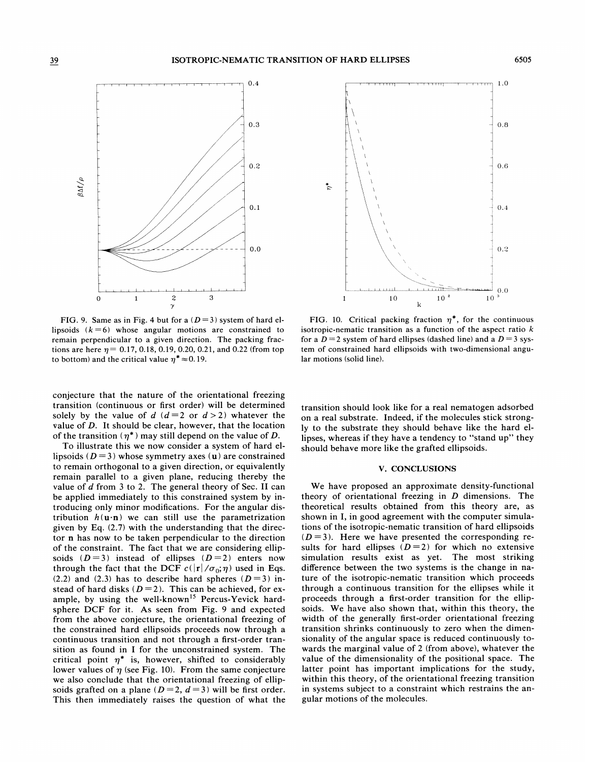

FIG. 9. Same as in Fig. 4 but for a  $(D=3)$  system of hard ellipsoids  $(k = 6)$  whose angular motions are constrained to remain perpendicular to a given direction. The packing fractions are here  $\eta = 0.17, 0.18, 0.19, 0.20, 0.21$ , and 0.22 (from top to bottom) and the critical value  $\eta^* \approx 0.19$ .

conjecture that the nature of the orientational freezing transition (continuous or first order} will be determined solely by the value of d  $(d=2 \text{ or } d > 2)$  whatever the value of D. It should be clear, however, that the location of the transition  $(\eta^*)$  may still depend on the value of D.

To illustrate this we now consider a system of hard ellipsoids ( $D = 3$ ) whose symmetry axes (u) are constrained to remain orthogonal to a given direction, or equivalently remain parallel to a given plane, reducing thereby the value of  $d$  from 3 to 2. The general theory of Sec. II can be applied immediately to this constrained system by introducing only minor modifications. For the angular distribution  $h(\mathbf{u} \cdot \mathbf{n})$  we can still use the parametrization given by Eq. (2.7) with the understanding that the director n has now to be taken perpendicular to the direction of the constraint. The fact that we are considering ellipsoids  $(D=3)$  instead of ellipses  $(D=2)$  enters now through the fact that the DCF  $c(|r|/\sigma_0;\eta)$  used in Eqs. (2.2) and (2.3) has to describe hard spheres ( $D = 3$ ) instead of hard disks  $(D=2)$ . This can be achieved, for example, by using the well-known<sup>15</sup> Percus-Yevick hardsphere DCF for it. As seen from Fig. 9 and expected from the above conjecture, the orientational freezing of the constrained hard ellipsoids proceeds now through a continuous transition and not through a first-order transition as found in I for the unconstrained system. The critical point  $\eta^*$  is, however, shifted to considerably lower values of  $\eta$  (see Fig. 10). From the same conjecture we also conclude that the orientational freezing of ellipsoids grafted on a plane ( $D = 2$ ,  $d = 3$ ) will be first order. This then immediately raises the question of what the



FIG. 10. Critical packing fraction  $\eta^*$ , for the continuous isotropic-nematic transition as a function of the aspect ratio  $k$ for a  $D = 2$  system of hard ellipses (dashed line) and a  $D = 3$  system of constrained hard ellipsoids with two-dimensional angular motions (solid line).

transition should look like for a real nematogen adsorbed on a real substrate. Indeed, if the molecules stick strongly to the substrate they should behave like the hard ellipses, whereas if they have a tendency to "stand up" they should behave more like the grafted ellipsoids.

### V. CONCLUSIONS

We have proposed an approximate density-functional theory of orientational freezing in  $D$  dimensions. The theoretical results obtained from this theory are, as shown in I, in good agreement with the computer simulations of the isotropic-nematic transition of hard ellipsoids  $(D=3)$ . Here we have presented the corresponding results for hard ellipses  $(D=2)$  for which no extensive simulation results exist as yet. The most striking difference between the two systems is the change in nature of the isotropic-nematic transition which proceeds through a continuous transition for the ellipses while it proceeds through a first-order transition for the ellipsoids. We have also shown that, within this theory, the width of the generally first-order orientational freezing transition shrinks continuously to zero when the dimensionality of the angular space is reduced continuously towards the marginal value of 2 (from above), whatever the value of the dimensionality of the positional space. The latter point has important implications for the study, within this theory, of the orientational freezing transition in systems subject to a constraint which restrains the angular motions of the molecules.